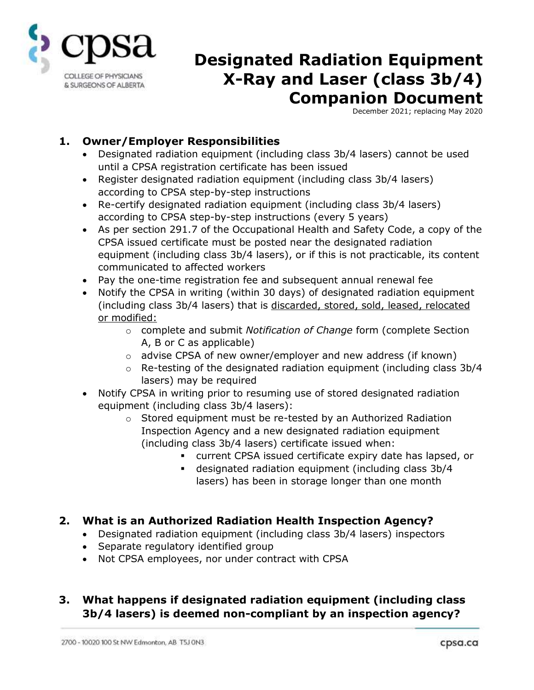

# **Designated Radiation Equipment X-Ray and Laser (class 3b/4) Companion Document**

December 2021; replacing May 2020

#### **1. Owner/Employer Responsibilities**

- Designated radiation equipment (including class 3b/4 lasers) cannot be used until a CPSA registration certificate has been issued
- Register designated radiation equipment (including class 3b/4 lasers) according to CPSA step-by-step instructions
- Re-certify designated radiation equipment (including class 3b/4 lasers) according to CPSA step-by-step instructions (every 5 years)
- As per section 291.7 of the Occupational Health and Safety Code, a copy of the CPSA issued certificate must be posted near the designated radiation equipment (including class 3b/4 lasers), or if this is not practicable, its content communicated to affected workers
- Pay the one-time registration fee and subsequent annual renewal fee
- Notify the CPSA in writing (within 30 days) of designated radiation equipment (including class 3b/4 lasers) that is discarded, stored, sold, leased, relocated or modified:
	- o complete and submit *Notification of Change* form (complete Section A, B or C as applicable)
	- o advise CPSA of new owner/employer and new address (if known)
	- $\circ$  Re-testing of the designated radiation equipment (including class 3b/4 lasers) may be required
- Notify CPSA in writing prior to resuming use of stored designated radiation equipment (including class 3b/4 lasers):
	- $\circ$  Stored equipment must be re-tested by an Authorized Radiation Inspection Agency and a new designated radiation equipment (including class 3b/4 lasers) certificate issued when:
		- current CPSA issued certificate expiry date has lapsed, or
		- designated radiation equipment (including class 3b/4 lasers) has been in storage longer than one month

### **2. What is an Authorized Radiation Health Inspection Agency?**

- Designated radiation equipment (including class 3b/4 lasers) inspectors
- Separate regulatory identified group
- Not CPSA employees, nor under contract with CPSA

### **3. What happens if designated radiation equipment (including class 3b/4 lasers) is deemed non-compliant by an inspection agency?**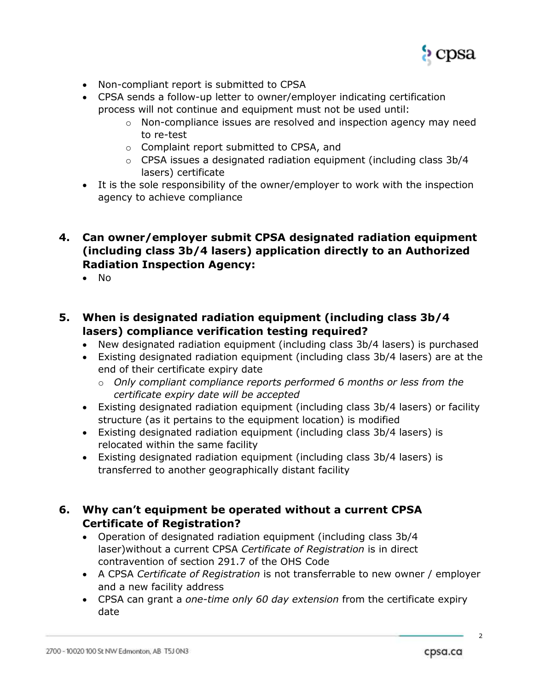

- Non-compliant report is submitted to CPSA
- CPSA sends a follow-up letter to owner/employer indicating certification process will not continue and equipment must not be used until:
	- $\circ$  Non-compliance issues are resolved and inspection agency may need to re-test
	- o Complaint report submitted to CPSA, and
	- $\circ$  CPSA issues a designated radiation equipment (including class 3b/4 lasers) certificate
- It is the sole responsibility of the owner/employer to work with the inspection agency to achieve compliance
- **4. Can owner/employer submit CPSA designated radiation equipment (including class 3b/4 lasers) application directly to an Authorized Radiation Inspection Agency:**
	- $\bullet$  No
- **5. When is designated radiation equipment (including class 3b/4 lasers) compliance verification testing required?**
	- New designated radiation equipment (including class 3b/4 lasers) is purchased
	- Existing designated radiation equipment (including class 3b/4 lasers) are at the end of their certificate expiry date
		- o *Only compliant compliance reports performed 6 months or less from the certificate expiry date will be accepted*
	- Existing designated radiation equipment (including class 3b/4 lasers) or facility structure (as it pertains to the equipment location) is modified
	- Existing designated radiation equipment (including class 3b/4 lasers) is relocated within the same facility
	- Existing designated radiation equipment (including class 3b/4 lasers) is transferred to another geographically distant facility
- **6. Why can't equipment be operated without a current CPSA Certificate of Registration?**
	- Operation of designated radiation equipment (including class 3b/4 laser)without a current CPSA *Certificate of Registration* is in direct contravention of section 291.7 of the OHS Code
	- A CPSA *Certificate of Registration* is not transferrable to new owner / employer and a new facility address
	- CPSA can grant a *one-time only 60 day extension* from the certificate expiry date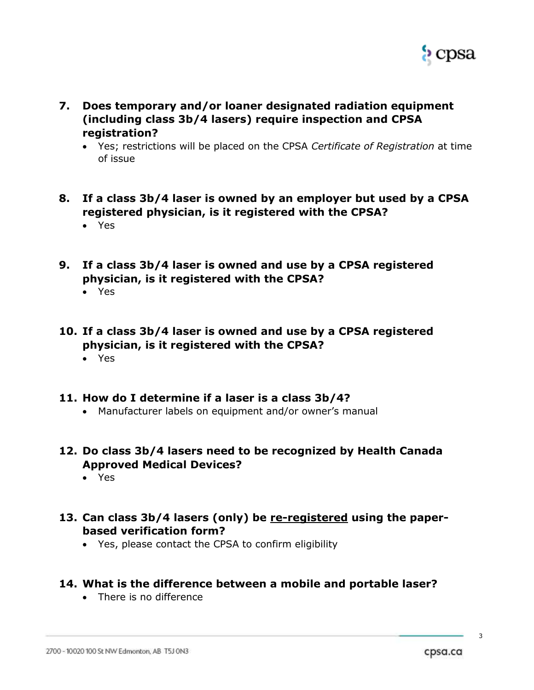

- **7. Does temporary and/or loaner designated radiation equipment (including class 3b/4 lasers) require inspection and CPSA registration?**
	- Yes; restrictions will be placed on the CPSA *Certificate of Registration* at time of issue
- **8. If a class 3b/4 laser is owned by an employer but used by a CPSA registered physician, is it registered with the CPSA?**
	- Yes
- **9. If a class 3b/4 laser is owned and use by a CPSA registered physician, is it registered with the CPSA?**
	- Yes
- **10. If a class 3b/4 laser is owned and use by a CPSA registered physician, is it registered with the CPSA?**
	- Yes
- **11. How do I determine if a laser is a class 3b/4?**
	- Manufacturer labels on equipment and/or owner's manual
- **12. Do class 3b/4 lasers need to be recognized by Health Canada Approved Medical Devices?**
	- Yes
- **13. Can class 3b/4 lasers (only) be re-registered using the paperbased verification form?**
	- Yes, please contact the CPSA to confirm eligibility
- **14. What is the difference between a mobile and portable laser?**
	- There is no difference